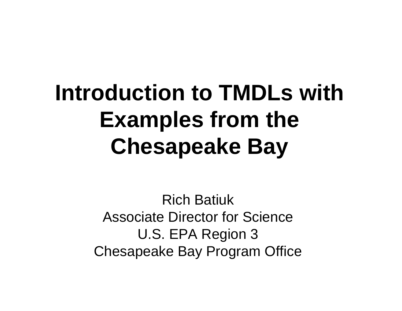## **Introduction to TMDLs with Examples from the Chesapeake Bay**

Rich BatiukAssociate Director for ScienceU.S. EPA Region 3 Chesapeake Bay Program Office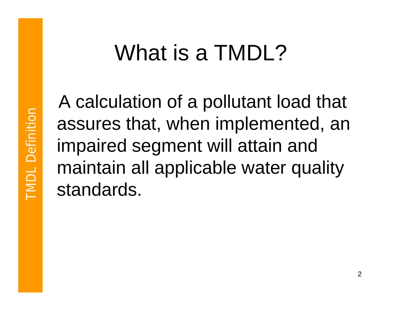## What is a TMDL?

A calculation of a pollutant load that assures that, when implemented, an impaired segment will attain and maintain all applicable water quality standards.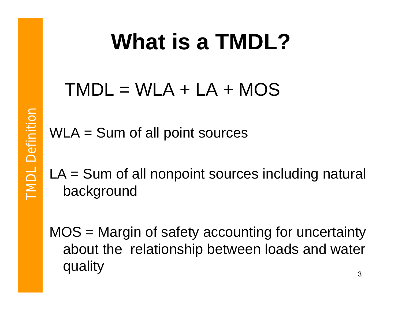## **What is a TMDL?**

### $TMDL = WLA + LA + MOS$

WLA = Sum of all point sources

LA = Sum of all nonpoint sources including natural background

MOS = Margin of safety accounting for uncertainty about the relationship between loads and water quality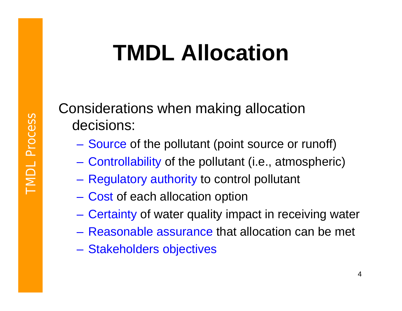# **TMDL Allocation**

Considerations when making allocation decisions:

- Source of the pollutant (point source or runoff)
- –Controllability of the pollutant (i.e., atmospheric)
- –Regulatory authority to control pollutant
- –Cost of each allocation option
- –Certainty of water quality impact in receiving water
- Reasonable assurance that allocation can be met
- –Stakeholders objectives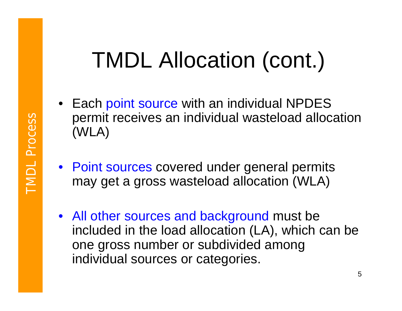## TMDL Allocation (cont.)

- Each point source with an individual NPDES permit receives an individual wasteload allocation (WLA)
- Point sources covered under general permits may get a gross wasteload allocation (WLA)
- All other sources and background must be included in the load allocation (LA), which can be one gross number or subdivided among individual sources or categories.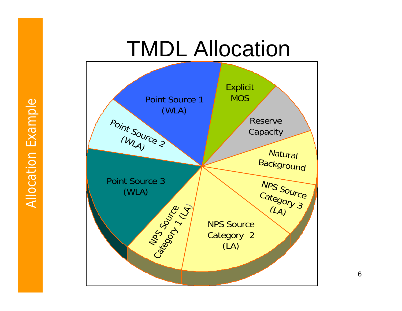### TMDL Allocation

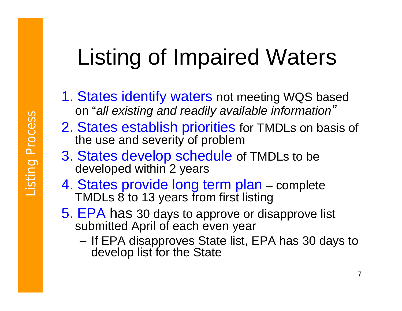# Listing of Impaired Waters

- 1. States identify waters not meeting WQS based on "*all existing and readily available information "*
- 2. States establish priorities for TMDLs on basis of the use and severity of problem
- 3. States develop schedule of TMDLs to be developed within 2 years
- 4. States provide long term plan complete TMDLs 8 to 13 years from first listing
- 5. EPA has 30 days to approve or disapprove list submitted April of each even year
	- and the state of the If EPA disapproves State list, EPA has 30 days to develop list for the State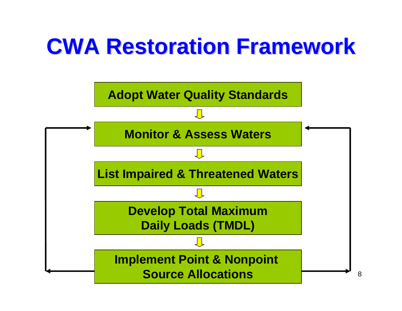# **CWA Restoration Framework CWA Restoration Framework**

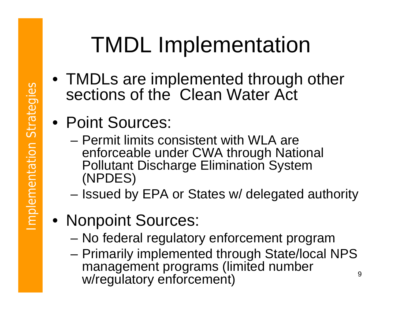# TMDL Implementation

- TMDLs are implemented through other sections of the Clean Water Act
- Point Sources:
	- Permit limits consistent with WLA are enforceable under CWA through National Pollutant Discharge Elimination System (NPDES)
	- –Issued by EPA or States w/ delegated authority
- Nonpoint Sources:
	- –No federal regulatory enforcement program
	- 9– Primarily implemented through State/local NPS management programs (limited number w/regulatory enforcement)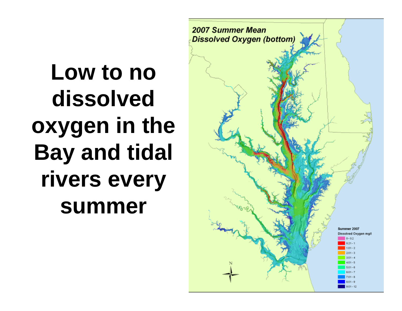**Low to no dissolved oxygen in the Bay and tidal rivers every summer**

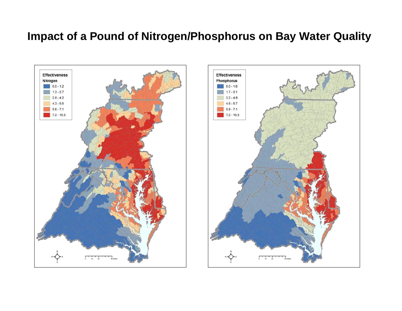#### **Impact of a Pound of Nitrogen/Phosphorus on Bay Water Quality**



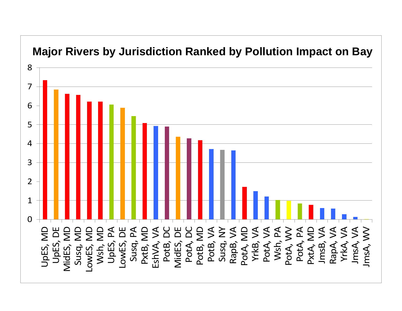#### **Major Rivers by Jurisdiction Ranked by Pollution Impact on Bay**

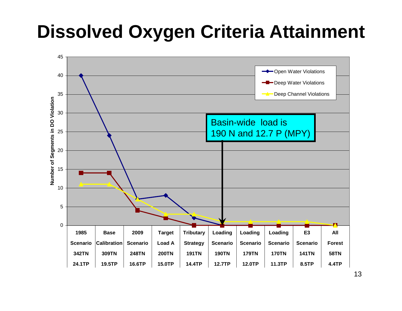### **Dissolved Oxygen Criteria Attainment**

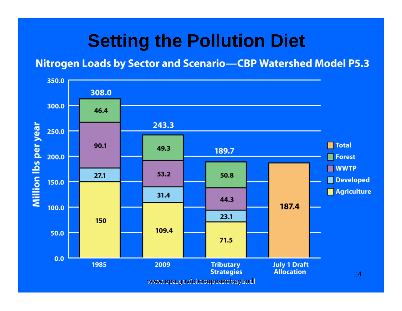### **Setting the Pollution Diet**

#### **Nitrogen Loads by Sector and Scenario-CBP Watershed Model P5.3**

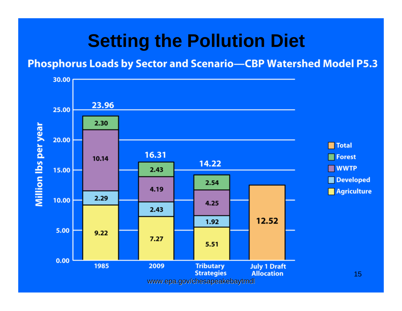### **Setting the Pollution Diet**

#### **Phosphorus Loads by Sector and Scenario-CBP Watershed Model P5.3**

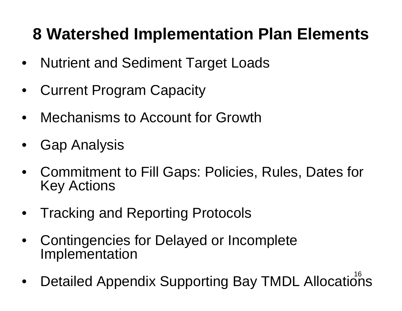### **8 Watershed Implementation Plan Elements**

- •Nutrient and Sediment Target Loads
- •Current Program Capacity
- •Mechanisms to Account for Growth
- •Gap Analysis
- Commitment to Fill Gaps: Policies, Rules, Dates for Key Actions
- •Tracking and Reporting Protocols
- • Contingencies for Delayed or Incomplete Implementation
- Detailed Appendix Supporting Bay TMDL Allocations •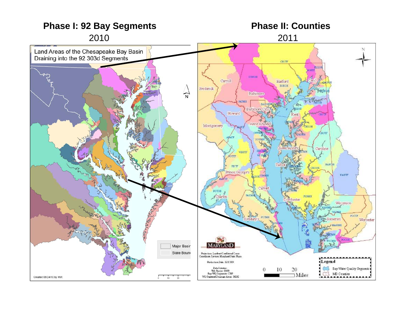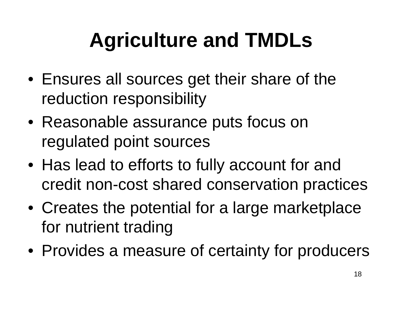## **Agriculture and TMDLs**

- Ensures all sources get their share of the reduction responsibility
- Reasonable assurance puts focus on regulated point sources
- Has lead to efforts to fully account for and credit non-cost shared conservation practices
- Creates the potential for a large marketplace for nutrient trading
- Provides a measure of certainty for producers